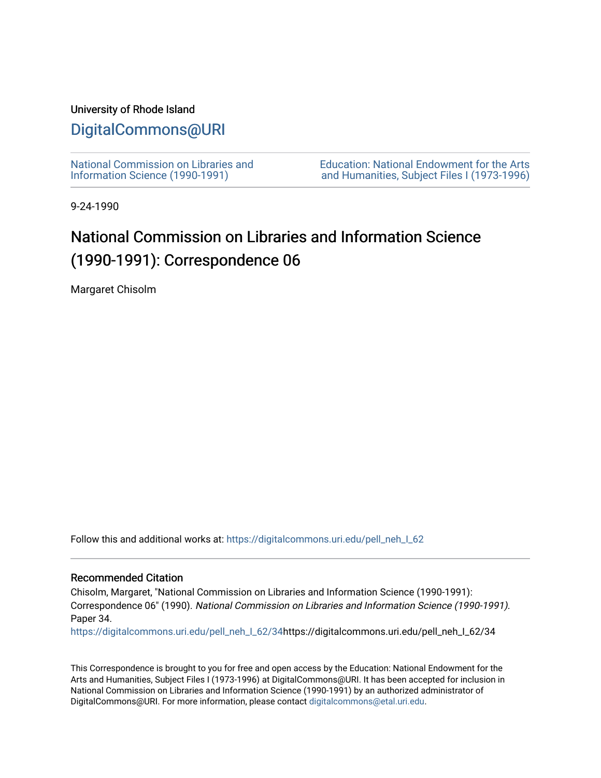## University of Rhode Island

## [DigitalCommons@URI](https://digitalcommons.uri.edu/)

[National Commission on Libraries and](https://digitalcommons.uri.edu/pell_neh_I_62) [Information Science \(1990-1991\)](https://digitalcommons.uri.edu/pell_neh_I_62) 

[Education: National Endowment for the Arts](https://digitalcommons.uri.edu/pell_neh_I)  [and Humanities, Subject Files I \(1973-1996\)](https://digitalcommons.uri.edu/pell_neh_I) 

9-24-1990

## National Commission on Libraries and Information Science (1990-1991): Correspondence 06

Margaret Chisolm

Follow this and additional works at: [https://digitalcommons.uri.edu/pell\\_neh\\_I\\_62](https://digitalcommons.uri.edu/pell_neh_I_62?utm_source=digitalcommons.uri.edu%2Fpell_neh_I_62%2F34&utm_medium=PDF&utm_campaign=PDFCoverPages) 

## Recommended Citation

Chisolm, Margaret, "National Commission on Libraries and Information Science (1990-1991): Correspondence 06" (1990). National Commission on Libraries and Information Science (1990-1991). Paper 34.

[https://digitalcommons.uri.edu/pell\\_neh\\_I\\_62/34h](https://digitalcommons.uri.edu/pell_neh_I_62/34?utm_source=digitalcommons.uri.edu%2Fpell_neh_I_62%2F34&utm_medium=PDF&utm_campaign=PDFCoverPages)ttps://digitalcommons.uri.edu/pell\_neh\_I\_62/34

This Correspondence is brought to you for free and open access by the Education: National Endowment for the Arts and Humanities, Subject Files I (1973-1996) at DigitalCommons@URI. It has been accepted for inclusion in National Commission on Libraries and Information Science (1990-1991) by an authorized administrator of DigitalCommons@URI. For more information, please contact [digitalcommons@etal.uri.edu.](mailto:digitalcommons@etal.uri.edu)